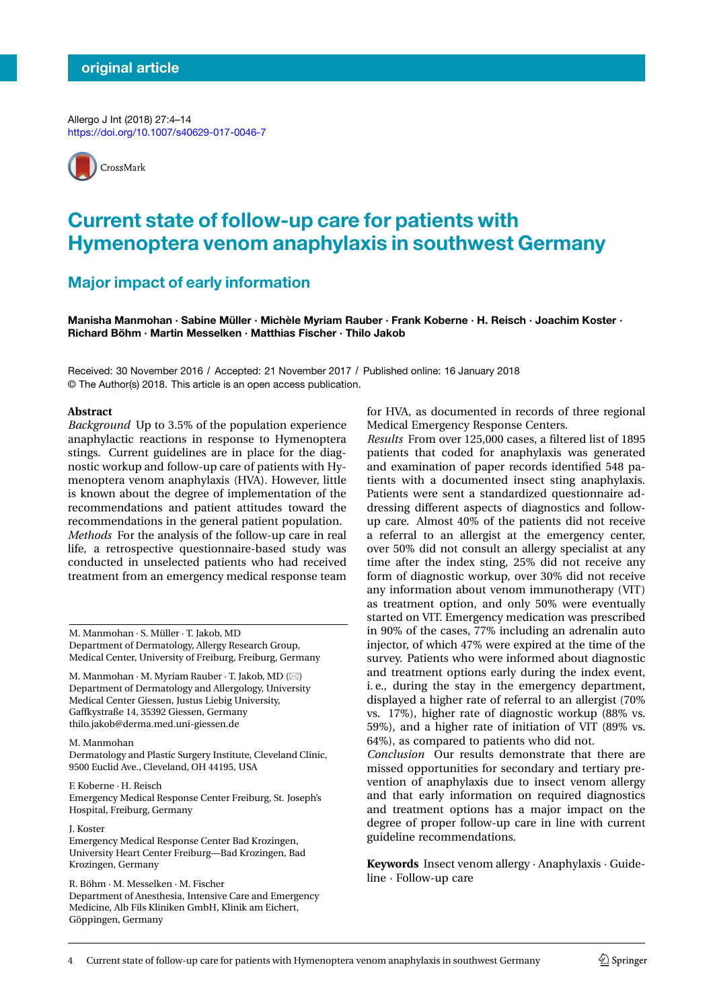Allergo J Int (2018) 27:4–14 <https://doi.org/10.1007/s40629-017-0046-7>



# **Current state of follow-up care for patients with Hymenoptera venom anaphylaxis in southwest Germany**

# **Major impact of early information**

**Manisha Manmohan · Sabine Müller · Michèle Myriam Rauber · Frank Koberne · H. Reisch · Joachim Koster · Richard Böhm · Martin Messelken · Matthias Fischer · Thilo Jakob**

Received: 30 November 2016 / Accepted: 21 November 2017 / Published online: 16 January 2018 © The Author(s) 2018. This article is an open access publication.

### **Abstract**

*Background* Up to 3.5% of the population experience anaphylactic reactions in response to Hymenoptera stings. Current guidelines are in place for the diagnostic workup and follow-up care of patients with Hymenoptera venom anaphylaxis (HVA). However, little is known about the degree of implementation of the recommendations and patient attitudes toward the recommendations in the general patient population. *Methods* For the analysis of the follow-up care in real life, a retrospective questionnaire-based study was conducted in unselected patients who had received treatment from an emergency medical response team

M. Manmohan · S. Müller · T. Jakob, MD Department of Dermatology, Allergy Research Group, Medical Center, University of Freiburg, Freiburg, Germany

M. Manmohan  $\cdot$  M. Myriam Rauber  $\cdot$  T. Jakob, MD ( $\boxtimes$ ) Department of Dermatology and Allergology, University Medical Center Giessen, Justus Liebig University, Gaffkystraße 14, 35392 Giessen, Germany thilo.jakob@derma.med.uni-giessen.de

#### M. Manmohan

Dermatology and Plastic Surgery Institute, Cleveland Clinic, 9500 Euclid Ave., Cleveland, OH 44195, USA

F. Koberne · H. Reisch Emergency Medical Response Center Freiburg, St. Joseph's Hospital, Freiburg, Germany

J. Koster

Emergency Medical Response Center Bad Krozingen, University Heart Center Freiburg—Bad Krozingen, Bad Krozingen, Germany

R. Böhm · M. Messelken · M. Fischer Department of Anesthesia, Intensive Care and Emergency Medicine, Alb Fils Kliniken GmbH, Klinik am Eichert, Göppingen, Germany

for HVA, as documented in records of three regional Medical Emergency Response Centers.

*Results* From over 125,000 cases, a filtered list of 1895 patients that coded for anaphylaxis was generated and examination of paper records identified 548 patients with a documented insect sting anaphylaxis. Patients were sent a standardized questionnaire addressing different aspects of diagnostics and followup care. Almost 40% of the patients did not receive a referral to an allergist at the emergency center, over 50% did not consult an allergy specialist at any time after the index sting, 25% did not receive any form of diagnostic workup, over 30% did not receive any information about venom immunotherapy (VIT) as treatment option, and only 50% were eventually started on VIT. Emergency medication was prescribed in 90% of the cases, 77% including an adrenalin auto injector, of which 47% were expired at the time of the survey. Patients who were informed about diagnostic and treatment options early during the index event, i. e., during the stay in the emergency department, displayed a higher rate of referral to an allergist (70% vs. 17%), higher rate of diagnostic workup (88% vs. 59%), and a higher rate of initiation of VIT (89% vs. 64%), as compared to patients who did not.

*Conclusion* Our results demonstrate that there are missed opportunities for secondary and tertiary prevention of anaphylaxis due to insect venom allergy and that early information on required diagnostics and treatment options has a major impact on the degree of proper follow-up care in line with current guideline recommendations.

**Keywords** Insect venom allergy · Anaphylaxis · Guideline · Follow-up care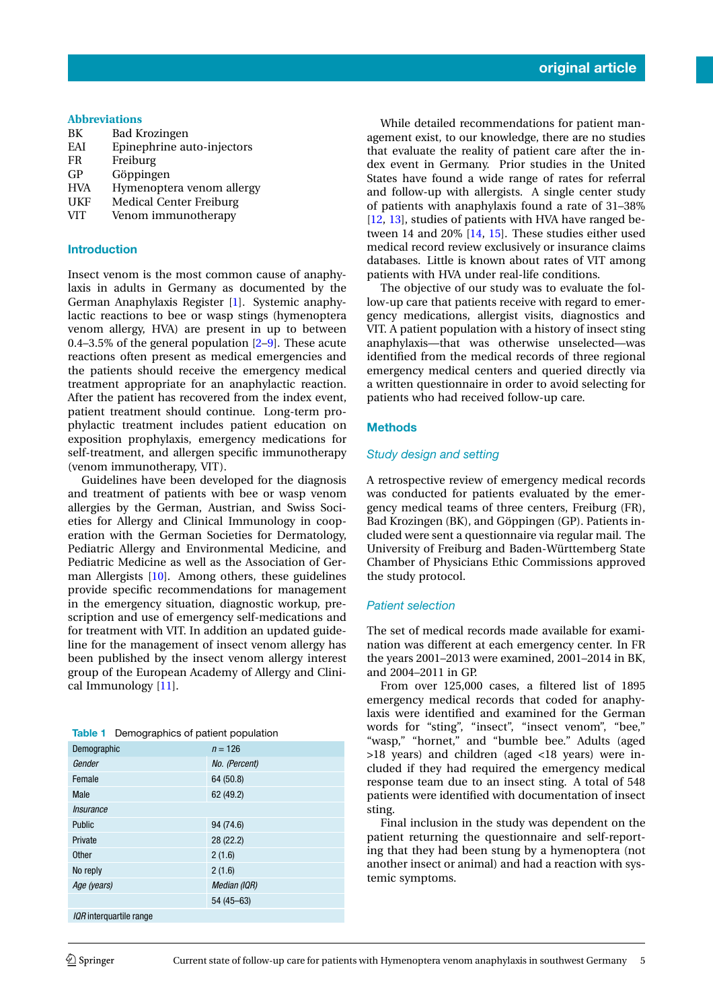| <b>Abbreviations</b> |
|----------------------|
|                      |

| BK         | <b>Bad Krozingen</b>       |
|------------|----------------------------|
| EAI        | Epinephrine auto-injectors |
| FR         | Freiburg                   |
| GP         | Göppingen                  |
| <b>HVA</b> | Hymenoptera venom allergy  |
| UKF        | Medical Center Freiburg    |
| <b>VIT</b> | Venom immunotherapy        |
|            |                            |

# **Introduction**

Insect venom is the most common cause of anaphylaxis in adults in Germany as documented by the German Anaphylaxis Register [\[1\]](#page-9-0). Systemic anaphylactic reactions to bee or wasp stings (hymenoptera venom allergy, HVA) are present in up to between 0.4–3.5% of the general population  $[2-9]$  $[2-9]$ . These acute reactions often present as medical emergencies and the patients should receive the emergency medical treatment appropriate for an anaphylactic reaction. After the patient has recovered from the index event, patient treatment should continue. Long-term prophylactic treatment includes patient education on exposition prophylaxis, emergency medications for self-treatment, and allergen specific immunotherapy (venom immunotherapy, VIT).

Guidelines have been developed for the diagnosis and treatment of patients with bee or wasp venom allergies by the German, Austrian, and Swiss Societies for Allergy and Clinical Immunology in cooperation with the German Societies for Dermatology, Pediatric Allergy and Environmental Medicine, and Pediatric Medicine as well as the Association of German Allergists [\[10\]](#page-9-3). Among others, these guidelines provide specific recommendations for management in the emergency situation, diagnostic workup, prescription and use of emergency self-medications and for treatment with VIT. In addition an updated guideline for the management of insect venom allergy has been published by the insect venom allergy interest group of the European Academy of Allergy and Clinical Immunology [\[11\]](#page-9-4).

<span id="page-1-0"></span>

| Table 1 | Demographics of patient population |  |  |
|---------|------------------------------------|--|--|
|---------|------------------------------------|--|--|

| Demographic             | $n = 126$     |  |  |  |
|-------------------------|---------------|--|--|--|
| Gender                  | No. (Percent) |  |  |  |
| Female                  | 64 (50.8)     |  |  |  |
| Male                    | 62 (49.2)     |  |  |  |
| <i><b>Insurance</b></i> |               |  |  |  |
| <b>Public</b>           | 94 (74.6)     |  |  |  |
| Private                 | 28 (22.2)     |  |  |  |
| <b>Other</b>            | 2(1.6)        |  |  |  |
| No reply                | 2(1.6)        |  |  |  |
| Age (years)             | Median (IQR)  |  |  |  |
|                         | $54(45 - 63)$ |  |  |  |
| IQR interquartile range |               |  |  |  |
|                         |               |  |  |  |

While detailed recommendations for patient management exist, to our knowledge, there are no studies that evaluate the reality of patient care after the index event in Germany. Prior studies in the United States have found a wide range of rates for referral and follow-up with allergists. A single center study of patients with anaphylaxis found a rate of 31–38% [\[12,](#page-9-5) [13\]](#page-9-6), studies of patients with HVA have ranged between 14 and 20% [\[14,](#page-10-0) [15\]](#page-10-1). These studies either used medical record review exclusively or insurance claims databases. Little is known about rates of VIT among patients with HVA under real-life conditions.

The objective of our study was to evaluate the follow-up care that patients receive with regard to emergency medications, allergist visits, diagnostics and VIT. A patient population with a history of insect sting anaphylaxis—that was otherwise unselected—was identified from the medical records of three regional emergency medical centers and queried directly via a written questionnaire in order to avoid selecting for patients who had received follow-up care.

# **Methods**

# *Study design and setting*

A retrospective review of emergency medical records was conducted for patients evaluated by the emergency medical teams of three centers, Freiburg (FR), Bad Krozingen (BK), and Göppingen (GP). Patients included were sent a questionnaire via regular mail. The University of Freiburg and Baden-Württemberg State Chamber of Physicians Ethic Commissions approved the study protocol.

# *Patient selection*

The set of medical records made available for examination was different at each emergency center. In FR the years 2001–2013 were examined, 2001–2014 in BK, and 2004–2011 in GP.

From over 125,000 cases, a filtered list of 1895 emergency medical records that coded for anaphylaxis were identified and examined for the German words for "sting", "insect", "insect venom", "bee," "wasp," "hornet," and "bumble bee." Adults (aged >18 years) and children (aged <18 years) were included if they had required the emergency medical response team due to an insect sting. A total of 548 patients were identified with documentation of insect sting.

Final inclusion in the study was dependent on the patient returning the questionnaire and self-reporting that they had been stung by a hymenoptera (not another insect or animal) and had a reaction with systemic symptoms.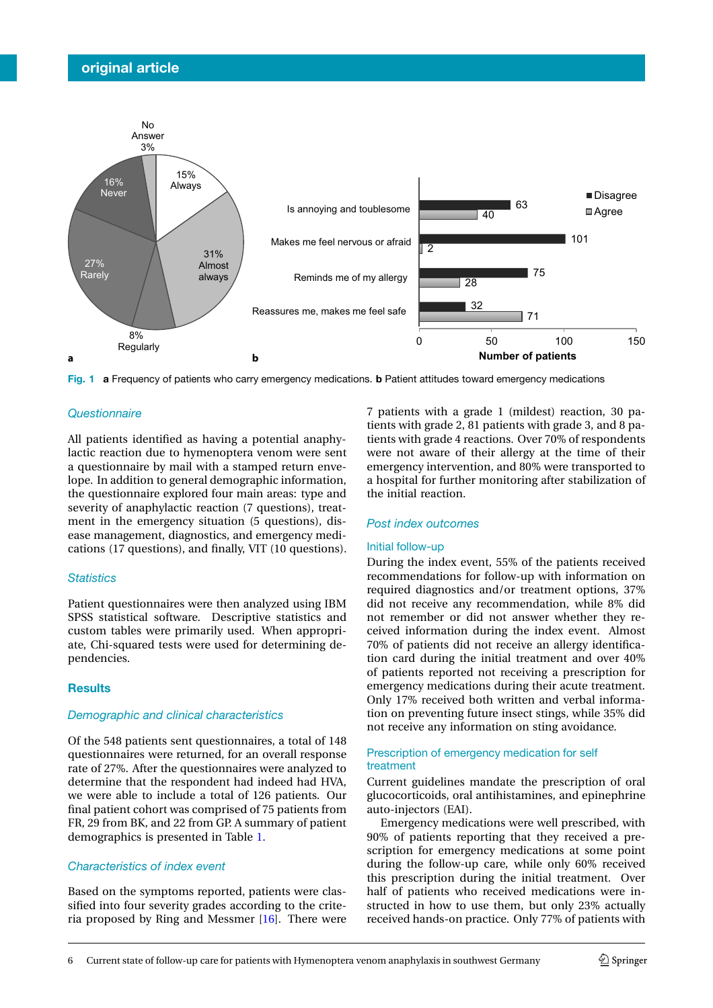

<span id="page-2-0"></span>**Fig. 1 a** Frequency of patients who carry emergency medications. **b** Patient attitudes toward emergency medications

# *Questionnaire*

All patients identified as having a potential anaphylactic reaction due to hymenoptera venom were sent a questionnaire by mail with a stamped return envelope. In addition to general demographic information, the questionnaire explored four main areas: type and severity of anaphylactic reaction (7 questions), treatment in the emergency situation (5 questions), disease management, diagnostics, and emergency medications (17 questions), and finally, VIT (10 questions).

# *Statistics*

Patient questionnaires were then analyzed using IBM SPSS statistical software. Descriptive statistics and custom tables were primarily used. When appropriate, Chi-squared tests were used for determining dependencies.

# **Results**

# *Demographic and clinical characteristics*

Of the 548 patients sent questionnaires, a total of 148 questionnaires were returned, for an overall response rate of 27%. After the questionnaires were analyzed to determine that the respondent had indeed had HVA, we were able to include a total of 126 patients. Our final patient cohort was comprised of 75 patients from FR, 29 from BK, and 22 from GP. A summary of patient demographics is presented in Table [1.](#page-1-0)

# *Characteristics of index event*

Based on the symptoms reported, patients were classified into four severity grades according to the criteria proposed by Ring and Messmer [\[16\]](#page-10-2). There were 7 patients with a grade 1 (mildest) reaction, 30 patients with grade 2, 81 patients with grade 3, and 8 patients with grade 4 reactions. Over 70% of respondents were not aware of their allergy at the time of their emergency intervention, and 80% were transported to a hospital for further monitoring after stabilization of the initial reaction.

#### *Post index outcomes*

#### Initial follow-up

During the index event, 55% of the patients received recommendations for follow-up with information on required diagnostics and/or treatment options, 37% did not receive any recommendation, while 8% did not remember or did not answer whether they received information during the index event. Almost 70% of patients did not receive an allergy identification card during the initial treatment and over 40% of patients reported not receiving a prescription for emergency medications during their acute treatment. Only 17% received both written and verbal information on preventing future insect stings, while 35% did not receive any information on sting avoidance.

# Prescription of emergency medication for self treatment

Current guidelines mandate the prescription of oral glucocorticoids, oral antihistamines, and epinephrine auto-injectors (EAI).

Emergency medications were well prescribed, with 90% of patients reporting that they received a prescription for emergency medications at some point during the follow-up care, while only 60% received this prescription during the initial treatment. Over half of patients who received medications were instructed in how to use them, but only 23% actually received hands-on practice. Only 77% of patients with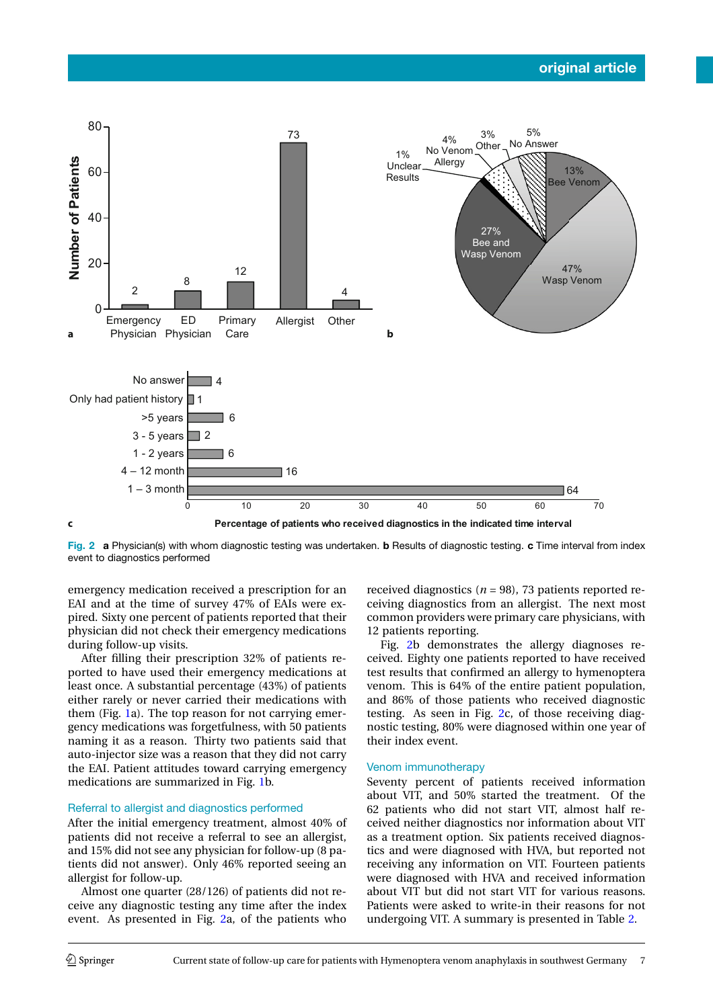

<span id="page-3-0"></span>**Fig. 2 a** Physician(s) with whom diagnostic testing was undertaken. **b** Results of diagnostic testing. **c** Time interval from index event to diagnostics performed

emergency medication received a prescription for an EAI and at the time of survey 47% of EAIs were expired. Sixty one percent of patients reported that their physician did not check their emergency medications during follow-up visits.

After filling their prescription 32% of patients reported to have used their emergency medications at least once. A substantial percentage (43%) of patients either rarely or never carried their medications with them (Fig. [1a](#page-2-0)). The top reason for not carrying emergency medications was forgetfulness, with 50 patients naming it as a reason. Thirty two patients said that auto-injector size was a reason that they did not carry the EAI. Patient attitudes toward carrying emergency medications are summarized in Fig. [1b](#page-2-0).

# Referral to allergist and diagnostics performed

After the initial emergency treatment, almost 40% of patients did not receive a referral to see an allergist, and 15% did not see any physician for follow-up (8 patients did not answer). Only 46% reported seeing an allergist for follow-up.

Almost one quarter (28/126) of patients did not receive any diagnostic testing any time after the index event. As presented in Fig. [2a](#page-3-0), of the patients who received diagnostics (*n* = 98), 73 patients reported receiving diagnostics from an allergist. The next most common providers were primary care physicians, with 12 patients reporting.

Fig. [2b](#page-3-0) demonstrates the allergy diagnoses received. Eighty one patients reported to have received test results that confirmed an allergy to hymenoptera venom. This is 64% of the entire patient population, and 86% of those patients who received diagnostic testing. As seen in Fig. [2c](#page-3-0), of those receiving diagnostic testing, 80% were diagnosed within one year of their index event.

#### Venom immunotherapy

Seventy percent of patients received information about VIT, and 50% started the treatment. Of the 62 patients who did not start VIT, almost half received neither diagnostics nor information about VIT as a treatment option. Six patients received diagnostics and were diagnosed with HVA, but reported not receiving any information on VIT. Fourteen patients were diagnosed with HVA and received information about VIT but did not start VIT for various reasons. Patients were asked to write-in their reasons for not undergoing VIT. A summary is presented in Table [2.](#page-4-0)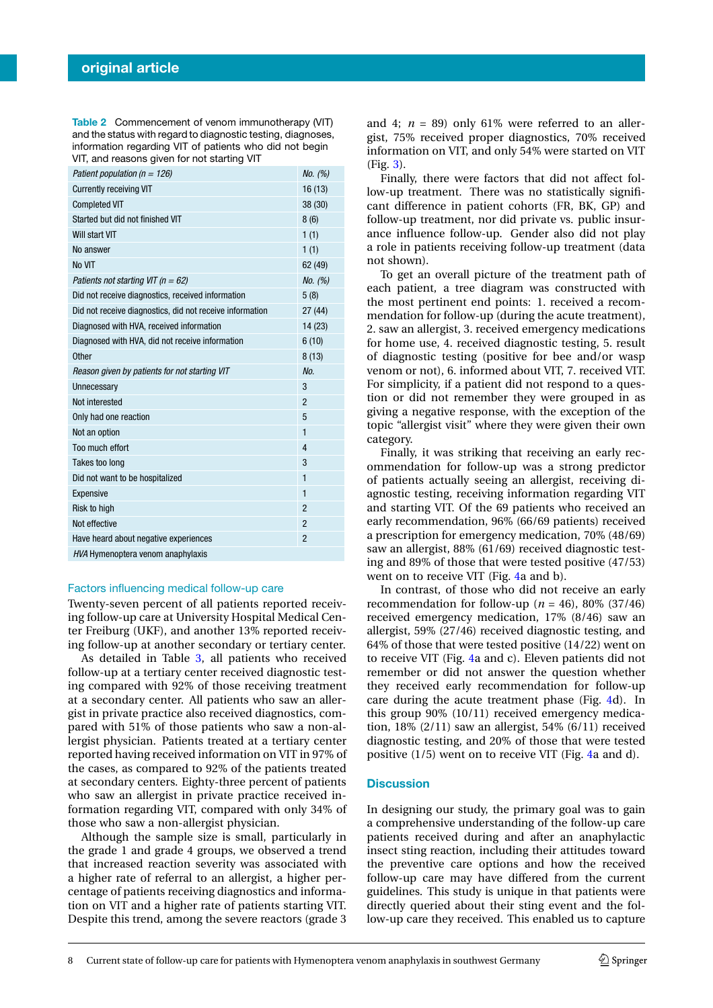**Table 2** Commencement of venom immunotherapy (VIT) and the status with regard to diagnostic testing, diagnoses, information regarding VIT of patients who did not begin VIT, and reasons given for not starting VIT

<span id="page-4-0"></span>

| Patient population ( $n = 126$ )                         | No. (%)        |
|----------------------------------------------------------|----------------|
| <b>Currently receiving VIT</b>                           | 16(13)         |
| <b>Completed VIT</b>                                     | 38 (30)        |
| Started but did not finished VIT                         | 8(6)           |
| Will start VIT                                           | 1(1)           |
| No answer                                                | 1(1)           |
| No VIT                                                   | 62 (49)        |
| Patients not starting VIT ( $n = 62$ )                   | No. (%)        |
| Did not receive diagnostics, received information        | 5(8)           |
| Did not receive diagnostics, did not receive information | 27 (44)        |
| Diagnosed with HVA, received information                 | 14(23)         |
| Diagnosed with HVA, did not receive information          | 6(10)          |
| <b>Other</b>                                             | 8(13)          |
| Reason given by patients for not starting VIT            | No.            |
|                                                          |                |
| Unnecessary                                              | 3              |
| Not interested                                           | $\overline{2}$ |
| Only had one reaction                                    | 5              |
| Not an option                                            | $\mathbf{1}$   |
| Too much effort                                          | $\overline{4}$ |
| Takes too long                                           | 3              |
| Did not want to be hospitalized                          | $\mathbf{1}$   |
| Expensive                                                | $\mathbf{1}$   |
| Risk to high                                             | 2              |
| Not effective                                            | $\overline{2}$ |
| Have heard about negative experiences                    | $\overline{2}$ |

#### Factors influencing medical follow-up care

Twenty-seven percent of all patients reported receiving follow-up care at University Hospital Medical Center Freiburg (UKF), and another 13% reported receiving follow-up at another secondary or tertiary center.

As detailed in Table [3,](#page-5-0) all patients who received follow-up at a tertiary center received diagnostic testing compared with 92% of those receiving treatment at a secondary center. All patients who saw an allergist in private practice also received diagnostics, compared with 51% of those patients who saw a non-allergist physician. Patients treated at a tertiary center reported having received information on VIT in 97% of the cases, as compared to 92% of the patients treated at secondary centers. Eighty-three percent of patients who saw an allergist in private practice received information regarding VIT, compared with only 34% of those who saw a non-allergist physician.

Although the sample size is small, particularly in the grade 1 and grade 4 groups, we observed a trend that increased reaction severity was associated with a higher rate of referral to an allergist, a higher percentage of patients receiving diagnostics and information on VIT and a higher rate of patients starting VIT. Despite this trend, among the severe reactors (grade 3

and 4;  $n = 89$ ) only 61% were referred to an allergist, 75% received proper diagnostics, 70% received information on VIT, and only 54% were started on VIT (Fig. [3\)](#page-6-0).

Finally, there were factors that did not affect follow-up treatment. There was no statistically significant difference in patient cohorts (FR, BK, GP) and follow-up treatment, nor did private vs. public insurance influence follow-up. Gender also did not play a role in patients receiving follow-up treatment (data not shown).

To get an overall picture of the treatment path of each patient, a tree diagram was constructed with the most pertinent end points: 1. received a recommendation for follow-up (during the acute treatment), 2. saw an allergist, 3. received emergency medications for home use, 4. received diagnostic testing, 5. result of diagnostic testing (positive for bee and/or wasp venom or not), 6. informed about VIT, 7. received VIT. For simplicity, if a patient did not respond to a question or did not remember they were grouped in as giving a negative response, with the exception of the topic "allergist visit" where they were given their own category.

Finally, it was striking that receiving an early recommendation for follow-up was a strong predictor of patients actually seeing an allergist, receiving diagnostic testing, receiving information regarding VIT and starting VIT. Of the 69 patients who received an early recommendation, 96% (66/69 patients) received a prescription for emergency medication, 70% (48/69) saw an allergist, 88% (61/69) received diagnostic testing and 89% of those that were tested positive (47/53) went on to receive VIT (Fig. [4a](#page-7-0) and b).

In contrast, of those who did not receive an early recommendation for follow-up ( $n = 46$ ), 80% (37/46) received emergency medication, 17% (8/46) saw an allergist, 59% (27/46) received diagnostic testing, and 64% of those that were tested positive (14/22) went on to receive VIT (Fig. [4a](#page-7-0) and c). Eleven patients did not remember or did not answer the question whether they received early recommendation for follow-up care during the acute treatment phase (Fig. [4d](#page-7-0)). In this group 90% (10/11) received emergency medication,  $18\%$  (2/11) saw an allergist,  $54\%$  (6/11) received diagnostic testing, and 20% of those that were tested positive (1/5) went on to receive VIT (Fig. [4a](#page-7-0) and d).

# **Discussion**

In designing our study, the primary goal was to gain a comprehensive understanding of the follow-up care patients received during and after an anaphylactic insect sting reaction, including their attitudes toward the preventive care options and how the received follow-up care may have differed from the current guidelines. This study is unique in that patients were directly queried about their sting event and the follow-up care they received. This enabled us to capture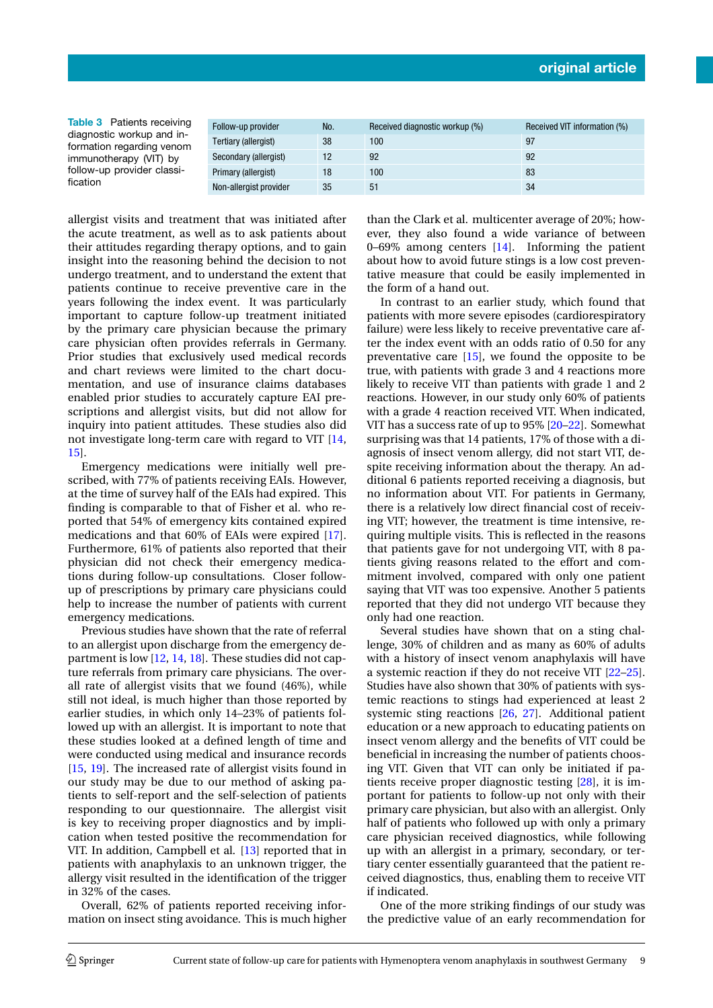**Table 3** Patients receiving diagnostic workup and information regarding venom immunotherapy (VIT) by follow-up provider classification

| Follow-up provider     | No. | Received diagnostic workup (%) | Received VIT information (%) |
|------------------------|-----|--------------------------------|------------------------------|
| Tertiary (allergist)   | 38  | 100                            | 97                           |
| Secondary (allergist)  | 12  | 92                             | 92                           |
| Primary (allergist)    | 18  | 100                            | 83                           |
| Non-allergist provider | 35  | 51                             | 34                           |

<span id="page-5-0"></span>allergist visits and treatment that was initiated after the acute treatment, as well as to ask patients about their attitudes regarding therapy options, and to gain insight into the reasoning behind the decision to not undergo treatment, and to understand the extent that patients continue to receive preventive care in the years following the index event. It was particularly important to capture follow-up treatment initiated by the primary care physician because the primary care physician often provides referrals in Germany. Prior studies that exclusively used medical records and chart reviews were limited to the chart documentation, and use of insurance claims databases enabled prior studies to accurately capture EAI prescriptions and allergist visits, but did not allow for inquiry into patient attitudes. These studies also did not investigate long-term care with regard to VIT [\[14,](#page-10-0) [15\]](#page-10-1).

Emergency medications were initially well prescribed, with 77% of patients receiving EAIs. However, at the time of survey half of the EAIs had expired. This finding is comparable to that of Fisher et al. who reported that 54% of emergency kits contained expired medications and that 60% of EAIs were expired [\[17\]](#page-10-3). Furthermore, 61% of patients also reported that their physician did not check their emergency medications during follow-up consultations. Closer followup of prescriptions by primary care physicians could help to increase the number of patients with current emergency medications.

Previous studies have shown that the rate of referral to an allergist upon discharge from the emergency department is low [\[12,](#page-9-5) [14,](#page-10-0) [18\]](#page-10-4). These studies did not capture referrals from primary care physicians. The overall rate of allergist visits that we found (46%), while still not ideal, is much higher than those reported by earlier studies, in which only 14–23% of patients followed up with an allergist. It is important to note that these studies looked at a defined length of time and were conducted using medical and insurance records [\[15,](#page-10-1) [19\]](#page-10-5). The increased rate of allergist visits found in our study may be due to our method of asking patients to self-report and the self-selection of patients responding to our questionnaire. The allergist visit is key to receiving proper diagnostics and by implication when tested positive the recommendation for VIT. In addition, Campbell et al. [\[13\]](#page-9-6) reported that in patients with anaphylaxis to an unknown trigger, the allergy visit resulted in the identification of the trigger in 32% of the cases.

Overall, 62% of patients reported receiving information on insect sting avoidance. This is much higher than the Clark et al. multicenter average of 20%; however, they also found a wide variance of between 0–69% among centers [\[14\]](#page-10-0). Informing the patient about how to avoid future stings is a low cost preventative measure that could be easily implemented in the form of a hand out.

In contrast to an earlier study, which found that patients with more severe episodes (cardiorespiratory failure) were less likely to receive preventative care after the index event with an odds ratio of 0.50 for any preventative care [\[15\]](#page-10-1), we found the opposite to be true, with patients with grade 3 and 4 reactions more likely to receive VIT than patients with grade 1 and 2 reactions. However, in our study only 60% of patients with a grade 4 reaction received VIT. When indicated, VIT has a success rate of up to 95% [\[20](#page-10-6)[–22\]](#page-10-7). Somewhat surprising was that 14 patients, 17% of those with a diagnosis of insect venom allergy, did not start VIT, despite receiving information about the therapy. An additional 6 patients reported receiving a diagnosis, but no information about VIT. For patients in Germany, there is a relatively low direct financial cost of receiving VIT; however, the treatment is time intensive, requiring multiple visits. This is reflected in the reasons that patients gave for not undergoing VIT, with 8 patients giving reasons related to the effort and commitment involved, compared with only one patient saying that VIT was too expensive. Another 5 patients reported that they did not undergo VIT because they only had one reaction.

Several studies have shown that on a sting challenge, 30% of children and as many as 60% of adults with a history of insect venom anaphylaxis will have a systemic reaction if they do not receive VIT [\[22–](#page-10-7)[25\]](#page-10-8). Studies have also shown that 30% of patients with systemic reactions to stings had experienced at least 2 systemic sting reactions [\[26,](#page-10-9) [27\]](#page-10-10). Additional patient education or a new approach to educating patients on insect venom allergy and the benefits of VIT could be beneficial in increasing the number of patients choosing VIT. Given that VIT can only be initiated if patients receive proper diagnostic testing [\[28\]](#page-10-11), it is important for patients to follow-up not only with their primary care physician, but also with an allergist. Only half of patients who followed up with only a primary care physician received diagnostics, while following up with an allergist in a primary, secondary, or tertiary center essentially guaranteed that the patient received diagnostics, thus, enabling them to receive VIT if indicated.

One of the more striking findings of our study was the predictive value of an early recommendation for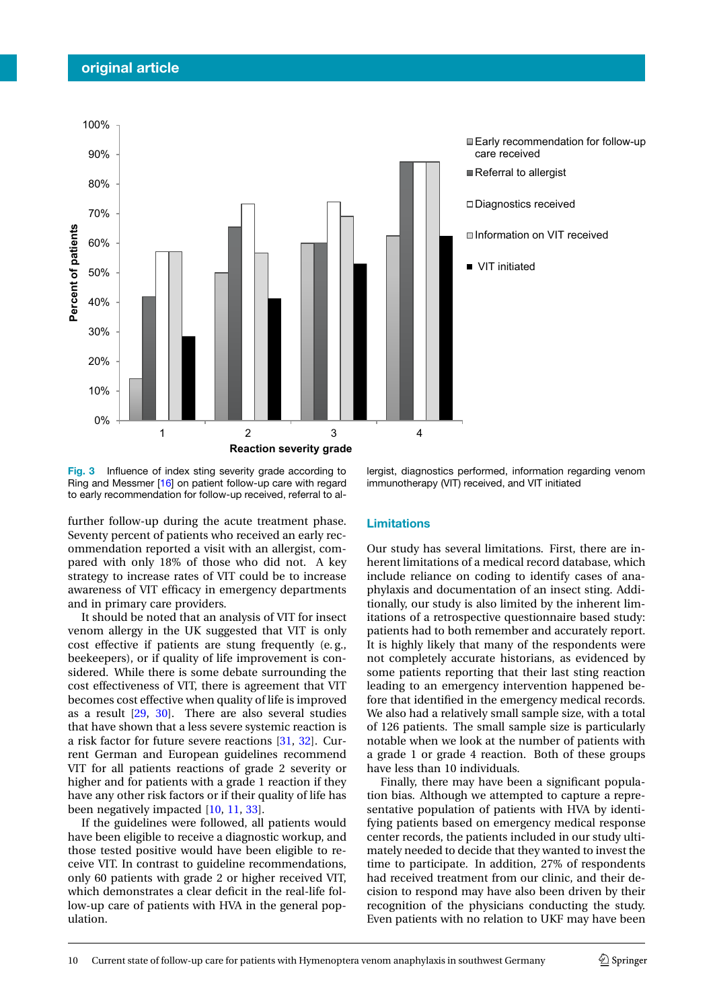

■ Early recommendation for follow-up care received

Referral to allergist

Diagnostics received

□ Information on VIT received

**VIT** initiated

<span id="page-6-0"></span>**Fig. 3** Influence of index sting severity grade according to Ring and Messmer [\[16\]](#page-10-2) on patient follow-up care with regard to early recommendation for follow-up received, referral to al-

further follow-up during the acute treatment phase. Seventy percent of patients who received an early recommendation reported a visit with an allergist, compared with only 18% of those who did not. A key strategy to increase rates of VIT could be to increase awareness of VIT efficacy in emergency departments and in primary care providers.

It should be noted that an analysis of VIT for insect venom allergy in the UK suggested that VIT is only cost effective if patients are stung frequently (e. g., beekeepers), or if quality of life improvement is considered. While there is some debate surrounding the cost effectiveness of VIT, there is agreement that VIT becomes cost effective when quality of life is improved as a result [\[29,](#page-10-12) [30\]](#page-10-13). There are also several studies that have shown that a less severe systemic reaction is a risk factor for future severe reactions [\[31,](#page-10-14) [32\]](#page-10-15). Current German and European guidelines recommend VIT for all patients reactions of grade 2 severity or higher and for patients with a grade 1 reaction if they have any other risk factors or if their quality of life has been negatively impacted [\[10,](#page-9-3) [11,](#page-9-4) [33\]](#page-10-16).

If the guidelines were followed, all patients would have been eligible to receive a diagnostic workup, and those tested positive would have been eligible to receive VIT. In contrast to guideline recommendations, only 60 patients with grade 2 or higher received VIT, which demonstrates a clear deficit in the real-life follow-up care of patients with HVA in the general population.

lergist, diagnostics performed, information regarding venom immunotherapy (VIT) received, and VIT initiated

#### **Limitations**

Our study has several limitations. First, there are inherent limitations of a medical record database, which include reliance on coding to identify cases of anaphylaxis and documentation of an insect sting. Additionally, our study is also limited by the inherent limitations of a retrospective questionnaire based study: patients had to both remember and accurately report. It is highly likely that many of the respondents were not completely accurate historians, as evidenced by some patients reporting that their last sting reaction leading to an emergency intervention happened before that identified in the emergency medical records. We also had a relatively small sample size, with a total of 126 patients. The small sample size is particularly notable when we look at the number of patients with a grade 1 or grade 4 reaction. Both of these groups have less than 10 individuals.

Finally, there may have been a significant population bias. Although we attempted to capture a representative population of patients with HVA by identifying patients based on emergency medical response center records, the patients included in our study ultimately needed to decide that they wanted to invest the time to participate. In addition, 27% of respondents had received treatment from our clinic, and their decision to respond may have also been driven by their recognition of the physicians conducting the study. Even patients with no relation to UKF may have been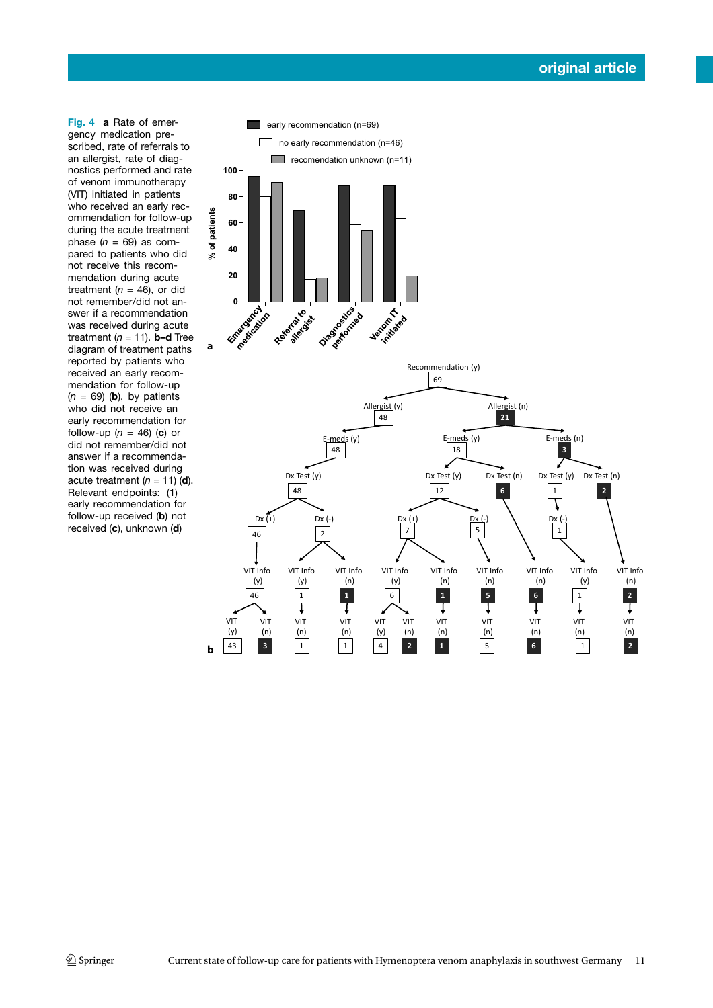<span id="page-7-0"></span>**Fig. 4 a** Rate of emergency medication prescribed, rate of referrals to an allergist, rate of diagnostics performed and rate of venom immunotherapy (VIT) initiated in patients who received an early recommendation for follow-up during the acute treatment phase  $(n = 69)$  as compared to patients who did not receive this recommendation during acute treatment ( $n = 46$ ), or did not remember/did not answer if a recommendation was received during acute treatment  $(n = 11)$ . **b-d** Tree diagram of treatment paths reported by patients who received an early recommendation for follow-up (*n* = 69) (**b**), by patients who did not receive an early recommendation for follow-up  $(n = 46)$  (c) or did not remember/did not answer if a recommendation was received during acute treatment  $(n = 11)$  (**d**). Relevant endpoints: (1) early recommendation for follow-up received (**b**) not received (**c**), unknown (**d**)

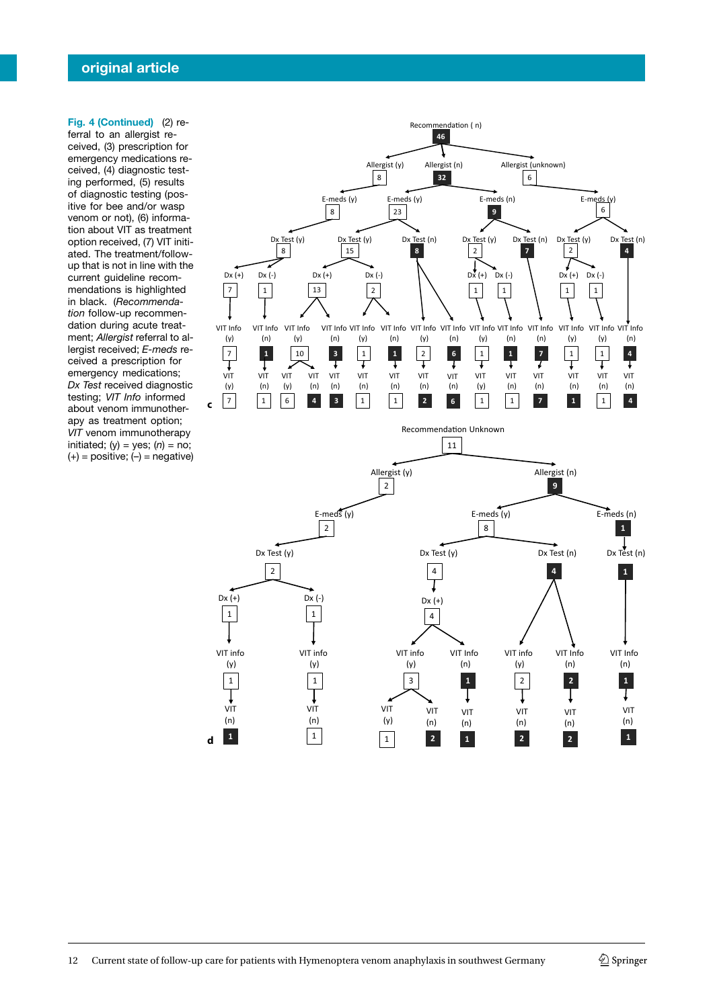# **original article**

**Fig. 4 (Continued)** (2) referral to an allergist received, (3) prescription for emergency medications received, (4) diagnostic testing performed, (5) results of diagnostic testing (positive for bee and/or wasp venom or not), (6) information about VIT as treatment option received, (7) VIT initiated. The treatment/followup that is not in line with the current guideline recommendations is highlighted in black. (*Recommendation* follow-up recommendation during acute treatment; *Allergist* referral to allergist received; *E-meds* received a prescription for emergency medications; *Dx Test* received diagnostic testing; *VIT Info* informed about venom immunotherapy as treatment option; *VIT* venom immunotherapy initiated; (y) = yes; (*n*) = no;  $(+)$  = positive;  $(-)$  = negative)

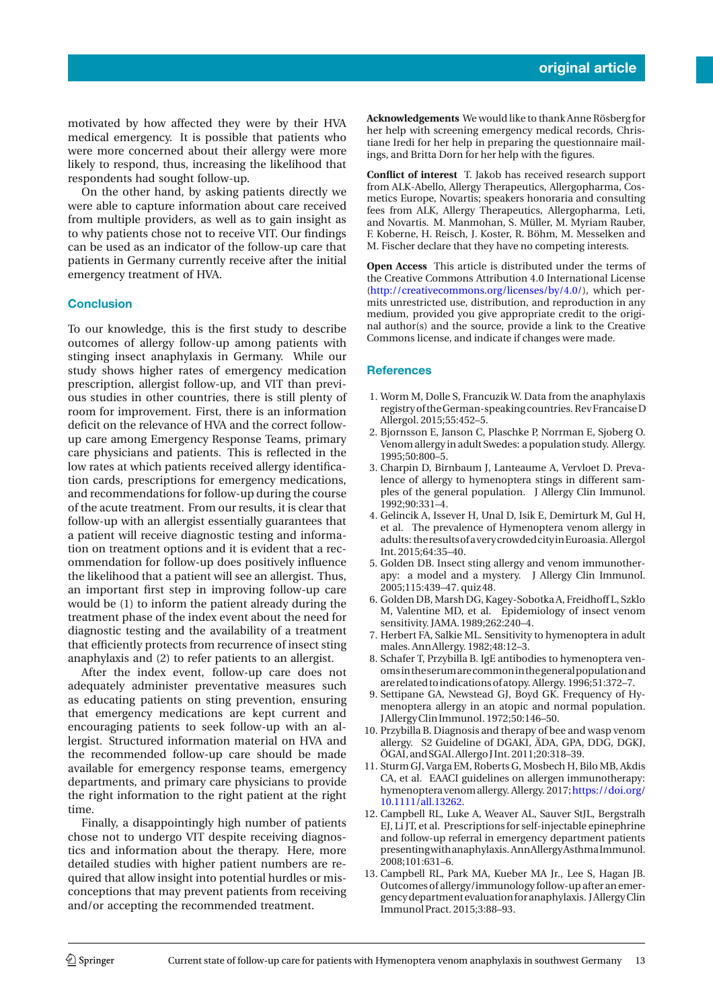motivated by how affected they were by their HVA medical emergency. It is possible that patients who were more concerned about their allergy were more likely to respond, thus, increasing the likelihood that respondents had sought follow-up.

On the other hand, by asking patients directly we were able to capture information about care received from multiple providers, as well as to gain insight as to why patients chose not to receive VIT. Our findings can be used as an indicator of the follow-up care that patients in Germany currently receive after the initial emergency treatment of HVA.

# **Conclusion**

To our knowledge, this is the first study to describe outcomes of allergy follow-up among patients with stinging insect anaphylaxis in Germany. While our study shows higher rates of emergency medication prescription, allergist follow-up, and VIT than previous studies in other countries, there is still plenty of room for improvement. First, there is an information deficit on the relevance of HVA and the correct followup care among Emergency Response Teams, primary care physicians and patients. This is reflected in the low rates at which patients received allergy identification cards, prescriptions for emergency medications, and recommendations for follow-up during the course of the acute treatment. From our results, it is clear that follow-up with an allergist essentially guarantees that a patient will receive diagnostic testing and information on treatment options and it is evident that a recommendation for follow-up does positively influence the likelihood that a patient will see an allergist. Thus, an important first step in improving follow-up care would be (1) to inform the patient already during the treatment phase of the index event about the need for diagnostic testing and the availability of a treatment that efficiently protects from recurrence of insect sting anaphylaxis and (2) to refer patients to an allergist.

After the index event, follow-up care does not adequately administer preventative measures such as educating patients on sting prevention, ensuring that emergency medications are kept current and encouraging patients to seek follow-up with an allergist. Structured information material on HVA and the recommended follow-up care should be made available for emergency response teams, emergency departments, and primary care physicians to provide the right information to the right patient at the right time.

Finally, a disappointingly high number of patients chose not to undergo VIT despite receiving diagnostics and information about the therapy. Here, more detailed studies with higher patient numbers are required that allow insight into potential hurdles or misconceptions that may prevent patients from receiving and/or accepting the recommended treatment.

**Acknowledgements** We would like to thank Anne Rösberg for her help with screening emergency medical records, Christiane Iredi for her help in preparing the questionnaire mailings, and Britta Dorn for her help with the figures.

**Conflict of interest** T. Jakob has received research support from ALK-Abello, Allergy Therapeutics, Allergopharma, Cosmetics Europe, Novartis; speakers honoraria and consulting fees from ALK, Allergy Therapeutics, Allergopharma, Leti, and Novartis. M. Manmohan, S. Müller, M. Myriam Rauber, F. Koberne, H. Reisch, J. Koster, R. Böhm, M. Messelken and M. Fischer declare that they have no competing interests.

**Open Access** This article is distributed under the terms of the Creative Commons Attribution 4.0 International License [\(http://creativecommons.org/licenses/by/4.0/\)](http://creativecommons.org/licenses/by/4.0/), which permits unrestricted use, distribution, and reproduction in any medium, provided you give appropriate credit to the original author(s) and the source, provide a link to the Creative Commons license, and indicate if changes were made.

### <span id="page-9-0"></span>**References**

- 1. Worm M, Dolle S, Francuzik W. Data from the anaphylaxis registryof theGerman-speakingcountries. Rev FrancaiseD Allergol. 2015;55:452–5.
- <span id="page-9-1"></span>2. Bjornsson E, Janson C, Plaschke P, Norrman E, Sjoberg O. Venom allergy in adult Swedes: a population study. Allergy. 1995;50:800–5.
- 3. Charpin D, Birnbaum J, Lanteaume A, Vervloet D. Prevalence of allergy to hymenoptera stings in different samples of the general population. J Allergy Clin Immunol. 1992;90:331–4.
- 4. Gelincik A, Issever H, Unal D, Isik E, Demirturk M, Gul H, et al. The prevalence of Hymenoptera venom allergy in adults: theresultsofaverycrowdedcityinEuroasia. Allergol Int. 2015;64:35–40.
- 5. Golden DB. Insect sting allergy and venom immunotherapy: a model and a mystery. J Allergy Clin Immunol. 2005;115:439–47. quiz48.
- 6. Golden DB, Marsh DG, Kagey-Sobotka A, Freidhoff L, Szklo M, Valentine MD, et al. Epidemiology of insect venom sensitivity. JAMA. 1989;262:240–4.
- 7. Herbert FA, Salkie ML. Sensitivity to hymenoptera in adult males. AnnAllergy. 1982;48:12–3.
- 8. Schafer T, Przybilla B. IgE antibodies to hymenoptera venomsin theserumarecommonin thegeneralpopulationand are related toindicationsof atopy. Allergy. 1996;51:372–7.
- <span id="page-9-2"></span>9. Settipane GA, Newstead GJ, Boyd GK. Frequency of Hymenoptera allergy in an atopic and normal population. JAllergyClin Immunol. 1972;50:146–50.
- <span id="page-9-3"></span>10. Przybilla B. Diagnosis and therapy of bee and wasp venom allergy. S2 Guideline of DGAKI, ÄDA, GPA, DDG, DGKJ, ÖGAI, andSGAI.Allergo J Int. 2011;20:318–39.
- <span id="page-9-4"></span>11. Sturm GJ, Varga EM, Roberts G, Mosbech H, Bilo MB, Akdis CA, et al. EAACI guidelines on allergen immunotherapy: hymenoptera venom allergy. Allergy. 2017;[https://doi.org/](https://doi.org/10.1111/all.13262) [10.1111/all.13262.](https://doi.org/10.1111/all.13262)
- <span id="page-9-5"></span>12. Campbell RL, Luke A, Weaver AL, Sauver StJL, Bergstralh EJ, Li JT, et al. Prescriptions for self-injectable epinephrine and follow-up referral in emergency department patients presentingwithanaphylaxis. AnnAllergyAsthmaImmunol. 2008;101:631–6.
- <span id="page-9-6"></span>13. Campbell RL, Park MA, Kueber MA Jr., Lee S, Hagan JB. Outcomes of allergy/immunology follow-up after an emergencydepartment evaluation for anaphylaxis. JAllergyClin ImmunolPract. 2015;3:88–93.